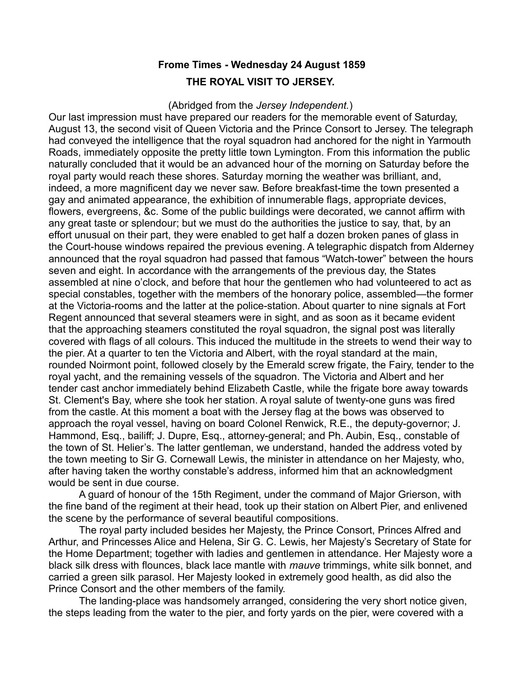## **Frome Times - Wednesday 24 August 1859 THE ROYAL VISIT TO JERSEY.**

## (Abridged from the *Jersey Independent.*)

Our last impression must have prepared our readers for the memorable event of Saturday, August 13, the second visit of Queen Victoria and the Prince Consort to Jersey. The telegraph had conveyed the intelligence that the royal squadron had anchored for the night in Yarmouth Roads, immediately opposite the pretty little town Lymington. From this information the public naturally concluded that it would be an advanced hour of the morning on Saturday before the royal party would reach these shores. Saturday morning the weather was brilliant, and, indeed, a more magnificent day we never saw. Before breakfast-time the town presented a gay and animated appearance, the exhibition of innumerable flags, appropriate devices, flowers, evergreens, &c. Some of the public buildings were decorated, we cannot affirm with any great taste or splendour; but we must do the authorities the justice to say, that, by an effort unusual on their part, they were enabled to get half a dozen broken panes of glass in the Court-house windows repaired the previous evening. A telegraphic dispatch from Alderney announced that the royal squadron had passed that famous "Watch-tower" between the hours seven and eight. In accordance with the arrangements of the previous day, the States assembled at nine o'clock, and before that hour the gentlemen who had volunteered to act as special constables, together with the members of the honorary police, assembled—the former at the Victoria-rooms and the latter at the police-station. About quarter to nine signals at Fort Regent announced that several steamers were in sight, and as soon as it became evident that the approaching steamers constituted the royal squadron, the signal post was literally covered with flags of all colours. This induced the multitude in the streets to wend their way to the pier. At a quarter to ten the Victoria and Albert, with the royal standard at the main, rounded Noirmont point, followed closely by the Emerald screw frigate, the Fairy, tender to the royal yacht, and the remaining vessels of the squadron. The Victoria and Albert and her tender cast anchor immediately behind Elizabeth Castle, while the frigate bore away towards St. Clement's Bay, where she took her station. A royal salute of twenty-one guns was fired from the castle. At this moment a boat with the Jersey flag at the bows was observed to approach the royal vessel, having on board Colonel Renwick, R.E., the deputy-governor; J. Hammond, Esq., bailiff; J. Dupre, Esq., attorney-general; and Ph. Aubin, Esq., constable of the town of St. Helier's. The latter gentleman, we understand, handed the address voted by the town meeting to Sir G. Cornewall Lewis, the minister in attendance on her Majesty, who, after having taken the worthy constable's address, informed him that an acknowledgment would be sent in due course.

A guard of honour of the 15th Regiment, under the command of Major Grierson, with the fine band of the regiment at their head, took up their station on Albert Pier, and enlivened the scene by the performance of several beautiful compositions.

The royal party included besides her Majesty, the Prince Consort, Princes Alfred and Arthur, and Princesses Alice and Helena, Sir G. C. Lewis, her Majesty's Secretary of State for the Home Department; together with ladies and gentlemen in attendance. Her Majesty wore a black silk dress with flounces, black lace mantle with *mauve* trimmings, white silk bonnet, and carried a green silk parasol. Her Majesty looked in extremely good health, as did also the Prince Consort and the other members of the family.

The landing-place was handsomely arranged, considering the very short notice given, the steps leading from the water to the pier, and forty yards on the pier, were covered with a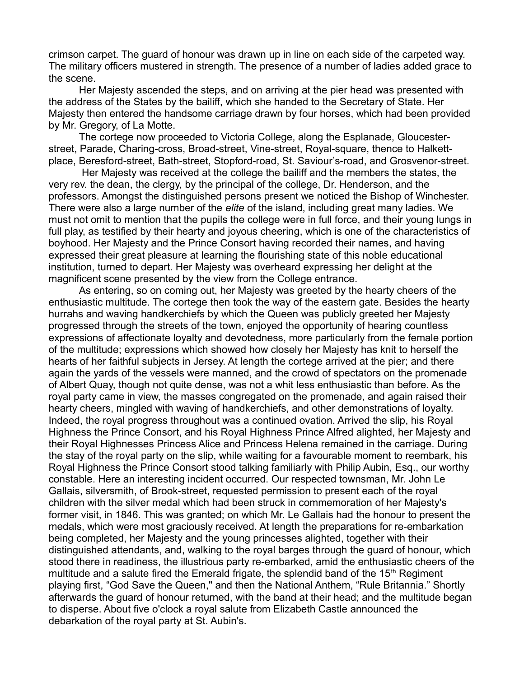crimson carpet. The guard of honour was drawn up in line on each side of the carpeted way. The military officers mustered in strength. The presence of a number of ladies added grace to the scene.

Her Majesty ascended the steps, and on arriving at the pier head was presented with the address of the States by the bailiff, which she handed to the Secretary of State. Her Majesty then entered the handsome carriage drawn by four horses, which had been provided by Mr. Gregory, of La Motte.

The cortege now proceeded to Victoria College, along the Esplanade, Gloucesterstreet, Parade, Charing-cross, Broad-street, Vine-street, Royal-square, thence to Halkettplace, Beresford-street, Bath-street, Stopford-road, St. Saviour's-road, and Grosvenor-street.

 Her Majesty was received at the college the bailiff and the members the states, the very rev. the dean, the clergy, by the principal of the college, Dr. Henderson, and the professors. Amongst the distinguished persons present we noticed the Bishop of Winchester. There were also a large number of the *elite* of the island, including great many ladies. We must not omit to mention that the pupils the college were in full force, and their young lungs in full play, as testified by their hearty and joyous cheering, which is one of the characteristics of boyhood. Her Majesty and the Prince Consort having recorded their names, and having expressed their great pleasure at learning the flourishing state of this noble educational institution, turned to depart. Her Majesty was overheard expressing her delight at the magnificent scene presented by the view from the College entrance.

As entering, so on coming out, her Majesty was greeted by the hearty cheers of the enthusiastic multitude. The cortege then took the way of the eastern gate. Besides the hearty hurrahs and waving handkerchiefs by which the Queen was publicly greeted her Majesty progressed through the streets of the town, enjoyed the opportunity of hearing countless expressions of affectionate loyalty and devotedness, more particularly from the female portion of the multitude; expressions which showed how closely her Majesty has knit to herself the hearts of her faithful subjects in Jersey. At length the cortege arrived at the pier; and there again the yards of the vessels were manned, and the crowd of spectators on the promenade of Albert Quay, though not quite dense, was not a whit less enthusiastic than before. As the royal party came in view, the masses congregated on the promenade, and again raised their hearty cheers, mingled with waving of handkerchiefs, and other demonstrations of loyalty. Indeed, the royal progress throughout was a continued ovation. Arrived the slip, his Royal Highness the Prince Consort, and his Royal Highness Prince Alfred alighted, her Majesty and their Royal Highnesses Princess Alice and Princess Helena remained in the carriage. During the stay of the royal party on the slip, while waiting for a favourable moment to reembark, his Royal Highness the Prince Consort stood talking familiarly with Philip Aubin, Esq., our worthy constable. Here an interesting incident occurred. Our respected townsman, Mr. John Le Gallais, silversmith, of Brook-street, requested permission to present each of the royal children with the silver medal which had been struck in commemoration of her Majesty's former visit, in 1846. This was granted; on which Mr. Le Gallais had the honour to present the medals, which were most graciously received. At length the preparations for re-embarkation being completed, her Majesty and the young princesses alighted, together with their distinguished attendants, and, walking to the royal barges through the guard of honour, which stood there in readiness, the illustrious party re-embarked, amid the enthusiastic cheers of the multitude and a salute fired the Emerald frigate, the splendid band of the  $15<sup>th</sup>$  Regiment playing first, "God Save the Queen," and then the National Anthem, "Rule Britannia." Shortly afterwards the guard of honour returned, with the band at their head; and the multitude began to disperse. About five o'clock a royal salute from Elizabeth Castle announced the debarkation of the royal party at St. Aubin's.